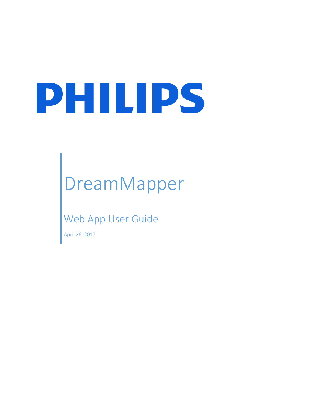# PHILIPS

## DreamMapper

### Web App User Guide

April 26, 2017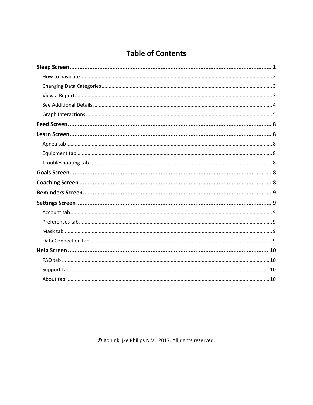#### **Table of Contents**

© Koninklijke Philips N.V., 2017. All rights reserved.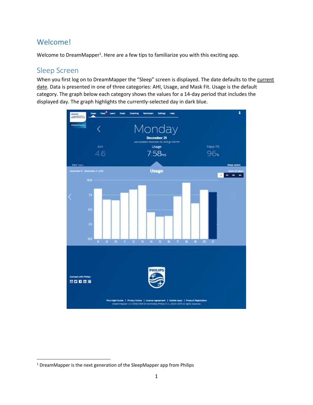#### Welcome!

Welcome to DreamMapper<sup>1</sup>. Here are a few tips to familiarize you with this exciting app.

#### <span id="page-2-0"></span>Sleep Screen

 $\overline{\phantom{a}}$ 

When you first log on to DreamMapper the "Sleep" screen is displayed. The date defaults to the current date. Data is presented in one of three categories: AHI, Usage, and Mask Fit. Usage is the default category. The graph below each category shows the values for a 14-day period that includes the displayed day. The graph highlights the currently-selected day in dark blue.



<sup>&</sup>lt;sup>1</sup> DreamMapper is the next generation of the SleepMapper app from Philips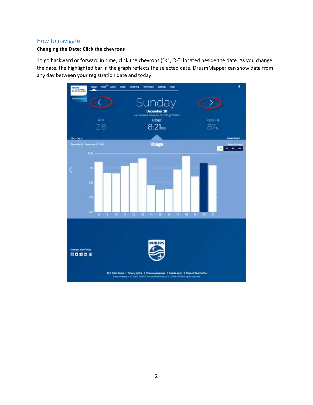#### <span id="page-3-0"></span>How to navigate

#### **Changing the Date: Click the chevrons**

To go backward or forward in time, click the chevrons ("<", ">") located beside the date. As you change the date, the highlighted bar in the graph reflects the selected date. DreamMapper can show data from any day between your registration date and today.

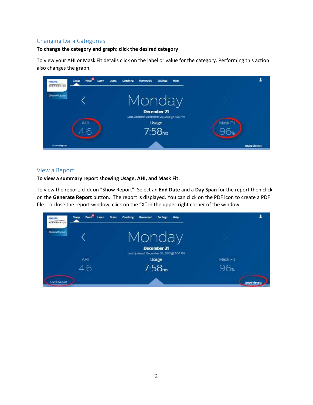#### <span id="page-4-0"></span>Changing Data Categories

#### **To change the category and graph: click the desired category**

To view your AHI or Mask Fit details click on the label or value for the category. Performing this action also changes the graph.

| Sloop<br><b>PHILIPS</b><br>FERIDAICS | Holp<br>Coaching<br>Reminders<br><b>Settings</b><br><b>Goals</b>                                |              |
|--------------------------------------|-------------------------------------------------------------------------------------------------|--------------|
| <b>DreamMapper</b>                   | Monday                                                                                          |              |
| AHI                                  | <b>December 21</b><br>Last Updated: December 20, 2015 @ 7.00 PM<br>Usage<br>7.58 <sub>hrs</sub> | Mask Fit     |
| <b>Show Report</b>                   |                                                                                                 | Show details |

#### <span id="page-4-1"></span>View a Report

#### **To view a summary report showing Usage, AHI, and Mask Fit.**

To view the report, click on "Show Report". Select an **End Date** and a **Day Span** for the report then click on the **Generate Report** button. The report is displayed. You can click on the PDF icon to create a PDF file. To close the report window, click on the "X" in the upper-right corner of the window.

| Sloop<br><b>PHILIPS</b><br>RESPIRONICS | Coaching<br>Reminders<br>Holp<br><b>Goals</b><br><b>Settings</b>   |              |
|----------------------------------------|--------------------------------------------------------------------|--------------|
| <b>DreamMapper</b>                     | Monday<br>December 21<br>Lest Updated: December 20, 2015 @ 7:00 PM |              |
| AHI                                    | Usage                                                              | Mask Fit     |
| 4.6                                    | 7.58 <sub>hrs</sub>                                                |              |
| Show Report                            |                                                                    | Show details |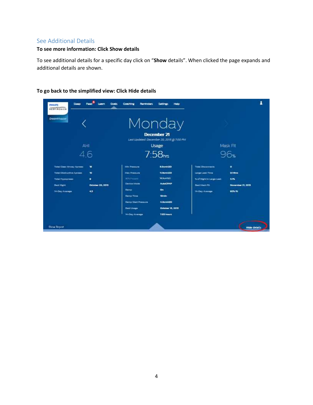#### <span id="page-5-0"></span>See Additional Details

#### **To see more information: Click Show details**

To see additional details for a specific day click on "**Show** details". When clicked the page expands and additional details are shown.

| Sloop<br><b>PHILIPS</b><br><b>RESPIRONICS</b>                                                                           | <b>Goals</b><br>Food <sup>1</sup><br>Loam     | Coaching<br>Reminders                                                                                                                                                | Holp<br>Settings                                                                                                                         |                                                                                                                          |                                                      |
|-------------------------------------------------------------------------------------------------------------------------|-----------------------------------------------|----------------------------------------------------------------------------------------------------------------------------------------------------------------------|------------------------------------------------------------------------------------------------------------------------------------------|--------------------------------------------------------------------------------------------------------------------------|------------------------------------------------------|
| <b>DreamMopper</b>                                                                                                      |                                               |                                                                                                                                                                      | Monday<br><b>December 21</b>                                                                                                             |                                                                                                                          |                                                      |
|                                                                                                                         | AHI<br>4.6                                    |                                                                                                                                                                      | Last Updated: December 20, 2015 @ 7:00 PM<br>Usage<br>7.58 <sub>hs</sub>                                                                 |                                                                                                                          | Mask Fit<br>96 <sub>%</sub>                          |
| <b>Tobs: Clear Atresy Agrees</b><br>Total Chatructive Aprees.<br>Total Hypopness<br><b>Best Hight</b><br>14-Day Awarage | <b>us</b><br>ъ<br>٠<br>October 20, 2015<br>43 | <b>Min Pressure</b><br><b>Max Premium</b><br><b>BORDERY</b><br>Destra Mode<br>Raimp<br>Ramp Time<br>Raimp Start Pressure<br><b>Dent Unage</b><br><b>H-Day Anergy</b> | 5.0cm 420<br><b>12.5cmH2O</b><br>14 Dunit 20<br><b>AutoCRAP</b><br>On:<br>10 <sub>mm</sub><br>4.0cm400<br>October 18, 2015<br>7:03 hours | <b>Trini Disconnects</b><br>Large Lash Time<br>% of registric Large Lash<br><b>Bast Mack Fit</b><br><b>H-Day Average</b> | ۰<br>0:14hrs<br>3.7%<br>November 21, 2015<br>92% ft: |
| <b>Show Report</b>                                                                                                      |                                               |                                                                                                                                                                      |                                                                                                                                          |                                                                                                                          | <b>Hide details</b>                                  |

#### **To go back to the simplified view: Click Hide details**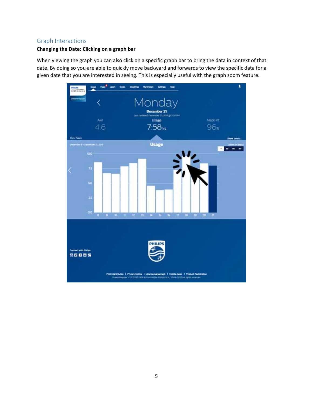#### <span id="page-6-0"></span>Graph Interactions

#### **Changing the Date: Clicking on a graph bar**

When viewing the graph you can also click on a specific graph bar to bring the data in context of that date. By doing so you are able to quickly move backward and forwards to view the specific data for a given date that you are interested in seeing. This is especially useful with the graph zoom feature.

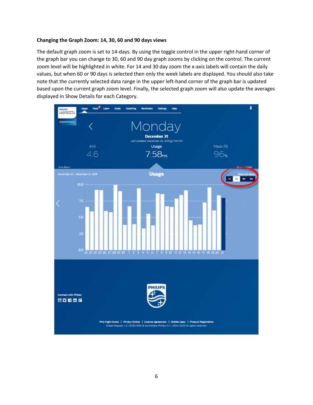#### **Changing the Graph Zoom: 14, 30, 60 and 90 days views**

The default graph zoom is set to 14-days. By using the toggle control in the upper right-hand corner of the graph bar you can change to 30, 60 and 90 day graph zooms by clicking on the control. The current zoom level will be highlighted in white. For 14 and 30 day zoom the x-axis labels will contain the daily values, but when 60 or 90 days is selected then only the week labels are displayed. You should also take note that the currently selected data range in the upper left-hand corner of the graph bar is updated based upon the current graph zoom level. Finally, the selected graph zoom will also update the averages displayed in Show Details for each Category.

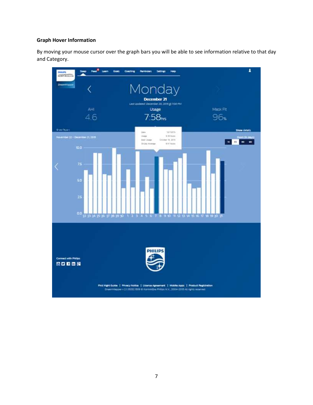#### **Graph Hover Information**

By moving your mouse cursor over the graph bars you will be able to see information relative to that day and Category.

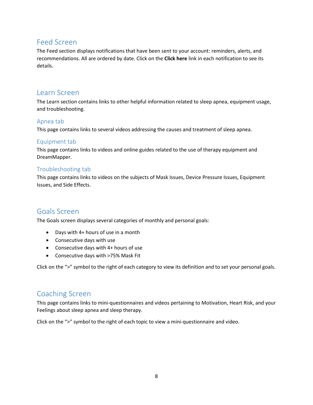#### <span id="page-9-0"></span>Feed Screen

The Feed section displays notifications that have been sent to your account: reminders, alerts, and recommendations. All are ordered by date. Click on the **Click here** link in each notification to see its details.

#### <span id="page-9-1"></span>Learn Screen

The Learn section contains links to other helpful information related to sleep apnea, equipment usage, and troubleshooting.

#### <span id="page-9-2"></span>Apnea tab

This page contains links to several videos addressing the causes and treatment of sleep apnea.

#### <span id="page-9-3"></span>Equipment tab

This page contains links to videos and online guides related to the use of therapy equipment and DreamMapper.

#### <span id="page-9-4"></span>Troubleshooting tab

This page contains links to videos on the subjects of Mask Issues, Device Pressure Issues, Equipment Issues, and Side Effects.

#### <span id="page-9-5"></span>Goals Screen

The Goals screen displays several categories of monthly and personal goals:

- Days with 4+ hours of use in a month
- Consecutive days with use
- Consecutive days with 4+ hours of use
- Consecutive days with >75% Mask Fit

Click on the ">" symbol to the right of each category to view its definition and to set your personal goals.

#### <span id="page-9-6"></span>Coaching Screen

This page contains links to mini-questionnaires and videos pertaining to Motivation, Heart Risk, and your Feelings about sleep apnea and sleep therapy.

Click on the ">" symbol to the right of each topic to view a mini-questionnaire and video.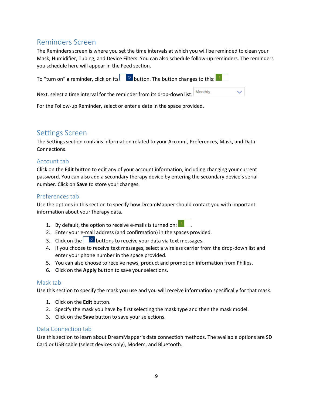#### <span id="page-10-0"></span>Reminders Screen

The Reminders screen is where you set the time intervals at which you will be reminded to clean your Mask, Humidifier, Tubing, and Device Filters. You can also schedule follow-up reminders. The reminders you schedule here will appear in the Feed section.

To "turn on" a reminder, click on its  $\Box$  button. The button changes to this:

Next, select a time interval for the reminder from its drop-down list:  $\vert$  Monthly

For the Follow-up Reminder, select or enter a date in the space provided.

#### <span id="page-10-1"></span>Settings Screen

The Settings section contains information related to your Account, Preferences, Mask, and Data Connections.

#### <span id="page-10-2"></span>Account tab

Click on the **Edit** button to edit any of your account information, including changing your current password. You can also add a secondary therapy device by entering the secondary device's serial number. Click on **Save** to store your changes.

#### <span id="page-10-3"></span>Preferences tab

Use the options in this section to specify how DreamMapper should contact you with important information about your therapy data.

- 1. By default, the option to receive e-mails is turned on:
- 2. Enter your e-mail address (and confirmation) in the spaces provided.
- 3. Click on the buttons to receive your data via text messages.
- 4. If you choose to receive text messages, select a wireless carrier from the drop-down list and enter your phone number in the space provided.
- 5. You can also choose to receive news, product and promotion information from Philips.
- 6. Click on the **Apply** button to save your selections.

#### <span id="page-10-4"></span>Mask tab

Use this section to specify the mask you use and you will receive information specifically for that mask.

- 1. Click on the **Edit** button.
- 2. Specify the mask you have by first selecting the mask type and then the mask model.
- 3. Click on the **Save** button to save your selections.

#### <span id="page-10-5"></span>Data Connection tab

Use this section to learn about DreamMapper's data connection methods. The available options are SD Card or USB cable (select devices only), Modem, and Bluetooth.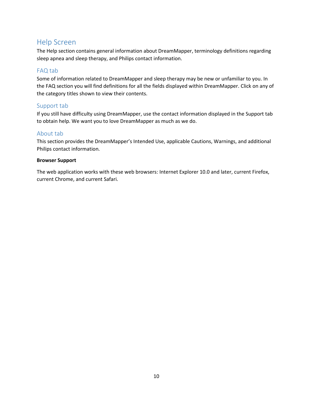#### <span id="page-11-0"></span>Help Screen

The Help section contains general information about DreamMapper, terminology definitions regarding sleep apnea and sleep therapy, and Philips contact information.

#### <span id="page-11-1"></span>FAQ tab

Some of information related to DreamMapper and sleep therapy may be new or unfamiliar to you. In the FAQ section you will find definitions for all the fields displayed within DreamMapper. Click on any of the category titles shown to view their contents.

#### <span id="page-11-2"></span>Support tab

If you still have difficulty using DreamMapper, use the contact information displayed in the Support tab to obtain help. We want you to love DreamMapper as much as we do.

#### <span id="page-11-3"></span>About tab

This section provides the DreamMapper's Intended Use, applicable Cautions, Warnings, and additional Philips contact information.

#### **Browser Support**

The web application works with these web browsers: Internet Explorer 10.0 and later, current Firefox, current Chrome, and current Safari.